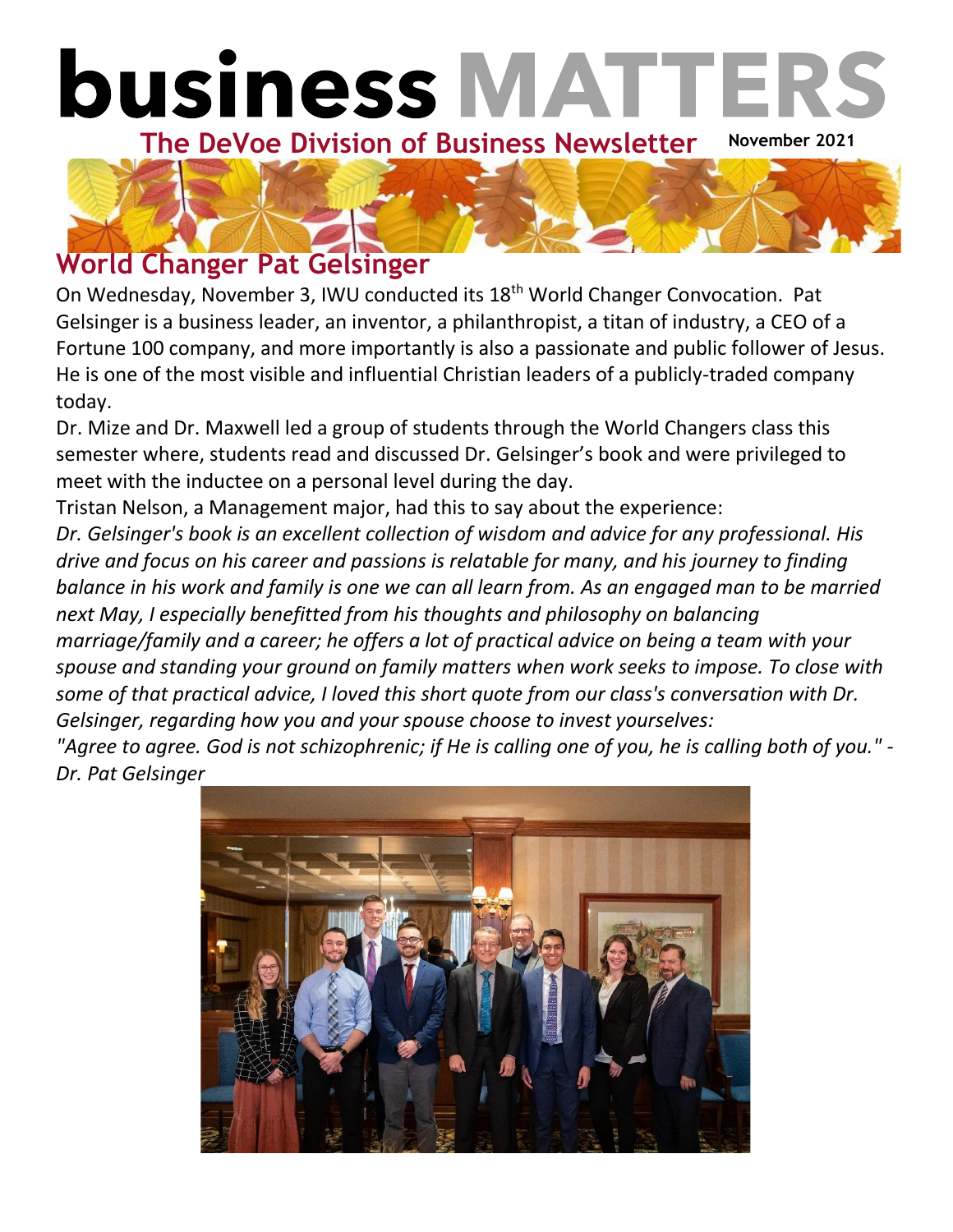



### **World Changer Pat Gelsinger**

On Wednesday, November 3, IWU conducted its 18th World Changer Convocation. Pat Gelsinger is a business leader, an inventor, a philanthropist, a titan of industry, a CEO of a Fortune 100 company, and more importantly is also a passionate and public follower of Jesus. He is one of the most visible and influential Christian leaders of a publicly-traded company today.

Dr. Mize and Dr. Maxwell led a group of students through the World Changers class this semester where, students read and discussed Dr. Gelsinger's book and were privileged to meet with the inductee on a personal level during the day.

Tristan Nelson, a Management major, had this to say about the experience:

*Dr. Gelsinger's book is an excellent collection of wisdom and advice for any professional. His drive and focus on his career and passions is relatable for many, and his journey to finding balance in his work and family is one we can all learn from. As an engaged man to be married next May, I especially benefitted from his thoughts and philosophy on balancing marriage/family and a career; he offers a lot of practical advice on being a team with your spouse and standing your ground on family matters when work seeks to impose. To close with some of that practical advice, I loved this short quote from our class's conversation with Dr. Gelsinger, regarding how you and your spouse choose to invest yourselves:*

*"Agree to agree. God is not schizophrenic; if He is calling one of you, he is calling both of you." - Dr. Pat Gelsinger*